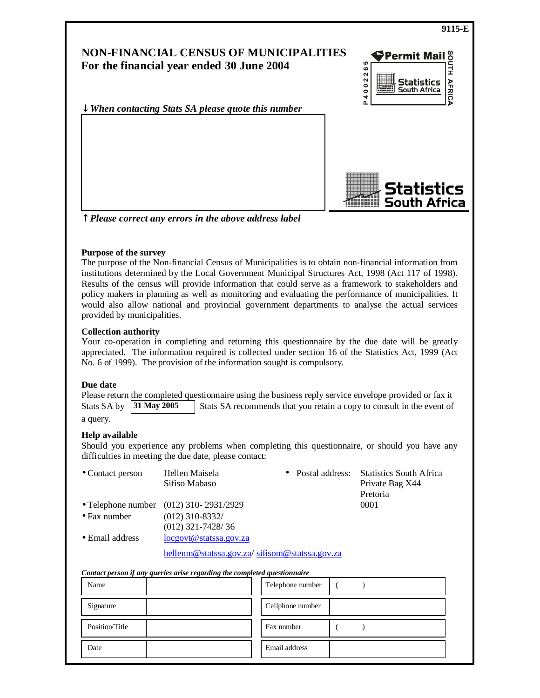

↑ *Please correct any errors in the above address label*

#### **Purpose of the survey**

The purpose of the Non-financial Census of Municipalities is to obtain non-financial information from institutions determined by the Local Government Municipal Structures Act, 1998 (Act 117 of 1998). Results of the census will provide information that could serve as a framework to stakeholders and policy makers in planning as well as monitoring and evaluating the performance of municipalities. It would also allow national and provincial government departments to analyse the actual services provided by municipalities.

#### **Collection authority**

Your co-operation in completing and returning this questionnaire by the due date will be greatly appreciated. The information required is collected under section 16 of the Statistics Act, 1999 (Act No. 6 of 1999). The provision of the information sought is compulsory.

#### **Due date**

Please return the completed questionnaire using the business reply service envelope provided or fax it Stats SA by **31 May 2005** Stats SA recommends that you retain a copy to consult in the event of

a query.

# **Help available**

Should you experience any problems when completing this questionnaire, or should you have any difficulties in meeting the due date, please contact:

| • Contact person        | Hellen Maisela<br>Sifiso Mabaso               | • Postal address: Statistics South Africa<br>Private Bag X44<br>Pretoria |
|-------------------------|-----------------------------------------------|--------------------------------------------------------------------------|
|                         | • Telephone number $(012)$ 310-2931/2929      | 0001                                                                     |
| $\bullet$ Fax number    | $(012)$ 310-8332/<br>$(012)$ 321-7428/36      |                                                                          |
| $\bullet$ Email address | $locgovt@{\text{statssa.gov.Za}}$             |                                                                          |
|                         | hellenm@statssa.gov.za/sifisom@statssa.gov.za |                                                                          |

#### *Contact person if any queries arise regarding the completed questionnaire*

| Name           | Telephone number |
|----------------|------------------|
| Signature      | Cellphone number |
| Position/Title | Fax number       |
| Date           | Email address    |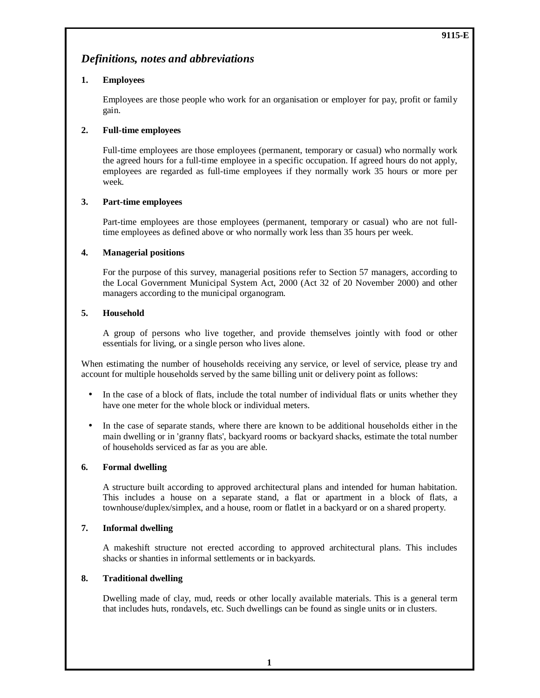# *Definitions, notes and abbreviations*

# **1. Employees**

 Employees are those people who work for an organisation or employer for pay, profit or family gain.

# **2. Full-time employees**

 Full-time employees are those employees (permanent, temporary or casual) who normally work the agreed hours for a full-time employee in a specific occupation. If agreed hours do not apply, employees are regarded as full-time employees if they normally work 35 hours or more per week.

# **3. Part-time employees**

 Part-time employees are those employees (permanent, temporary or casual) who are not fulltime employees as defined above or who normally work less than 35 hours per week.

# **4. Managerial positions**

 For the purpose of this survey, managerial positions refer to Section 57 managers, according to the Local Government Municipal System Act, 2000 (Act 32 of 20 November 2000) and other managers according to the municipal organogram.

# **5. Household**

 A group of persons who live together, and provide themselves jointly with food or other essentials for living, or a single person who lives alone.

When estimating the number of households receiving any service, or level of service, please try and account for multiple households served by the same billing unit or delivery point as follows:

- In the case of a block of flats, include the total number of individual flats or units whether they have one meter for the whole block or individual meters.
- In the case of separate stands, where there are known to be additional households either in the main dwelling or in 'granny flats', backyard rooms or backyard shacks, estimate the total number of households serviced as far as you are able.

#### **6. Formal dwelling**

A structure built according to approved architectural plans and intended for human habitation. This includes a house on a separate stand, a flat or apartment in a block of flats, a townhouse/duplex/simplex, and a house, room or flatlet in a backyard or on a shared property.

#### **7. Informal dwelling**

 A makeshift structure not erected according to approved architectural plans. This includes shacks or shanties in informal settlements or in backyards.

#### **8. Traditional dwelling**

 Dwelling made of clay, mud, reeds or other locally available materials. This is a general term that includes huts, rondavels, etc. Such dwellings can be found as single units or in clusters.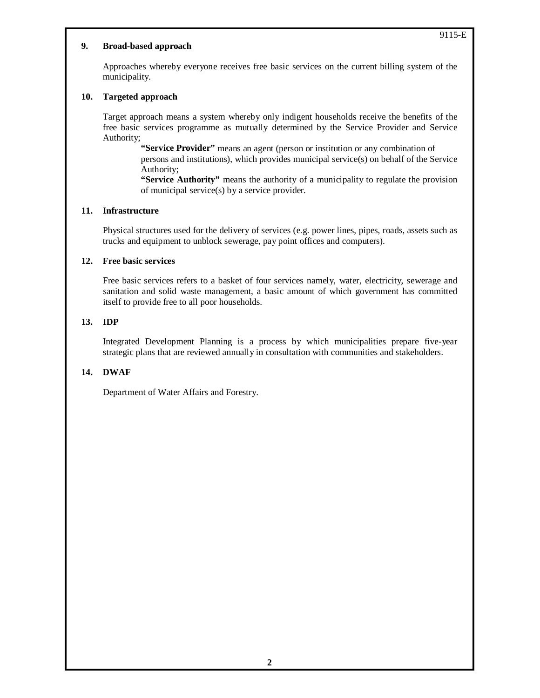#### **9. Broad-based approach**

 Approaches whereby everyone receives free basic services on the current billing system of the municipality.

#### **10. Targeted approach**

 Target approach means a system whereby only indigent households receive the benefits of the free basic services programme as mutually determined by the Service Provider and Service Authority;

**"Service Provider"** means an agent (person or institution or any combination of persons and institutions), which provides municipal service(s) on behalf of the Service Authority;

**"Service Authority"** means the authority of a municipality to regulate the provision of municipal service(s) by a service provider.

#### **11. Infrastructure**

 Physical structures used for the delivery of services (e.g. power lines, pipes, roads, assets such as trucks and equipment to unblock sewerage, pay point offices and computers).

#### **12. Free basic services**

 Free basic services refers to a basket of four services namely, water, electricity, sewerage and sanitation and solid waste management, a basic amount of which government has committed itself to provide free to all poor households.

## **13. IDP**

 Integrated Development Planning is a process by which municipalities prepare five-year strategic plans that are reviewed annually in consultation with communities and stakeholders.

#### **14. DWAF**

Department of Water Affairs and Forestry.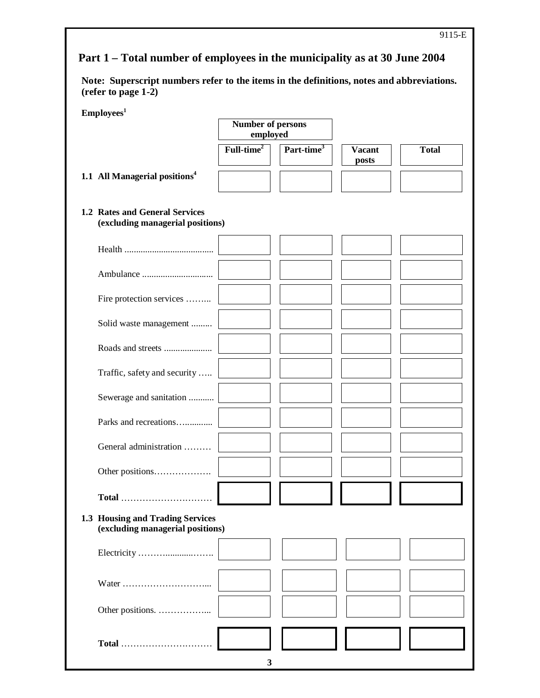# **Part 1 – Total number of employees in the municipality as at 30 June 2004**

**Note: Superscript numbers refer to the items in the definitions, notes and abbreviations. (refer to page 1-2)**

| Employees <sup>1</sup>                                               | <b>Number of persons</b><br>employed |                        |                        |              |
|----------------------------------------------------------------------|--------------------------------------|------------------------|------------------------|--------------|
|                                                                      | $Full-time2$                         | Part-time <sup>3</sup> | <b>Vacant</b><br>posts | <b>Total</b> |
| 1.1 All Managerial positions <sup>4</sup>                            |                                      |                        |                        |              |
| 1.2 Rates and General Services<br>(excluding managerial positions)   |                                      |                        |                        |              |
|                                                                      |                                      |                        |                        |              |
|                                                                      |                                      |                        |                        |              |
| Fire protection services                                             |                                      |                        |                        |              |
| Solid waste management                                               |                                      |                        |                        |              |
|                                                                      |                                      |                        |                        |              |
| Traffic, safety and security                                         |                                      |                        |                        |              |
| Sewerage and sanitation                                              |                                      |                        |                        |              |
| Parks and recreations                                                |                                      |                        |                        |              |
| General administration                                               |                                      |                        |                        |              |
|                                                                      |                                      |                        |                        |              |
|                                                                      |                                      |                        |                        |              |
| 1.3 Housing and Trading Services<br>(excluding managerial positions) |                                      |                        |                        |              |
|                                                                      |                                      |                        |                        |              |
|                                                                      |                                      |                        |                        |              |
| Other positions.                                                     |                                      |                        |                        |              |
| Total                                                                |                                      |                        |                        |              |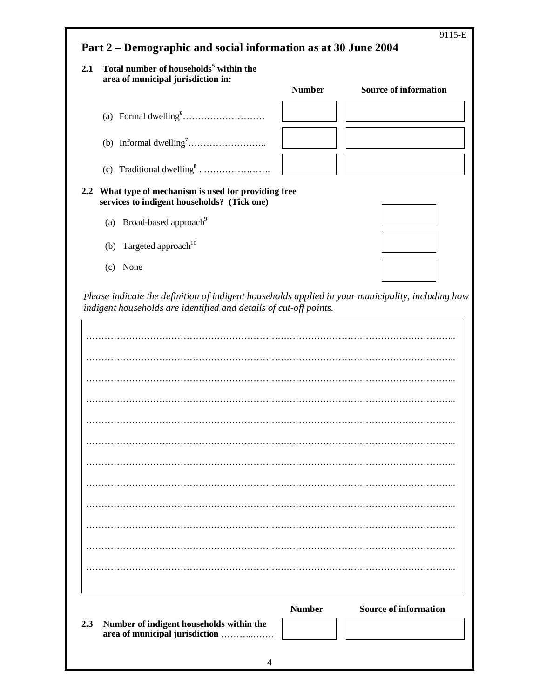| 2.1                                   | Total number of households <sup>5</sup> within the                                               |               |                                                                                                   |
|---------------------------------------|--------------------------------------------------------------------------------------------------|---------------|---------------------------------------------------------------------------------------------------|
|                                       | area of municipal jurisdiction in:                                                               | <b>Number</b> | <b>Source of information</b>                                                                      |
|                                       |                                                                                                  |               |                                                                                                   |
|                                       |                                                                                                  |               |                                                                                                   |
|                                       | (c) Traditional dwelling <sup>8</sup>                                                            |               |                                                                                                   |
| 2.2                                   | What type of mechanism is used for providing free<br>services to indigent households? (Tick one) |               |                                                                                                   |
| (a) Broad-based approach <sup>9</sup> |                                                                                                  |               |                                                                                                   |
| (b) Targeted approach <sup>10</sup>   |                                                                                                  |               |                                                                                                   |
| (c) None                              |                                                                                                  |               |                                                                                                   |
|                                       | indigent households are identified and details of cut-off points.                                |               |                                                                                                   |
|                                       |                                                                                                  |               | Please indicate the definition of indigent households applied in your municipality, including how |
|                                       |                                                                                                  |               |                                                                                                   |
|                                       |                                                                                                  |               |                                                                                                   |
|                                       |                                                                                                  |               |                                                                                                   |
|                                       |                                                                                                  |               |                                                                                                   |
|                                       |                                                                                                  |               |                                                                                                   |
|                                       |                                                                                                  |               |                                                                                                   |
|                                       |                                                                                                  |               |                                                                                                   |
|                                       |                                                                                                  |               |                                                                                                   |
|                                       |                                                                                                  |               |                                                                                                   |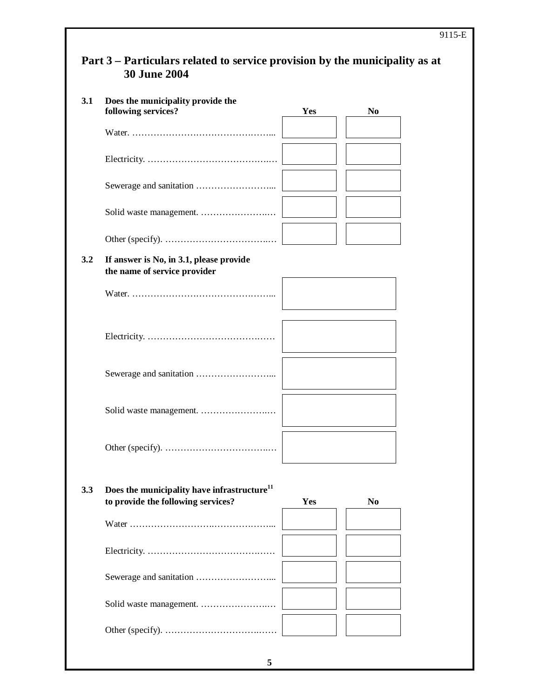|     | Part 3 – Particulars related to service provision by the municipality as at<br><b>30 June 2004</b> |     |                |  |
|-----|----------------------------------------------------------------------------------------------------|-----|----------------|--|
| 3.1 | Does the municipality provide the<br>following services?                                           | Yes | N <sub>0</sub> |  |
|     |                                                                                                    |     |                |  |
|     |                                                                                                    |     |                |  |
|     |                                                                                                    |     |                |  |
|     |                                                                                                    |     |                |  |
|     |                                                                                                    |     |                |  |
| 3.2 | If answer is No, in 3.1, please provide<br>the name of service provider                            |     |                |  |
|     |                                                                                                    |     |                |  |
|     |                                                                                                    |     |                |  |
|     |                                                                                                    |     |                |  |
|     |                                                                                                    |     |                |  |
|     |                                                                                                    |     |                |  |
| 3.3 | Does the municipality have infrastructure <sup>11</sup><br>to provide the following services?      | Yes | N <sub>0</sub> |  |
|     |                                                                                                    |     |                |  |
|     |                                                                                                    |     |                |  |
|     |                                                                                                    |     |                |  |
|     |                                                                                                    |     |                |  |
|     |                                                                                                    |     |                |  |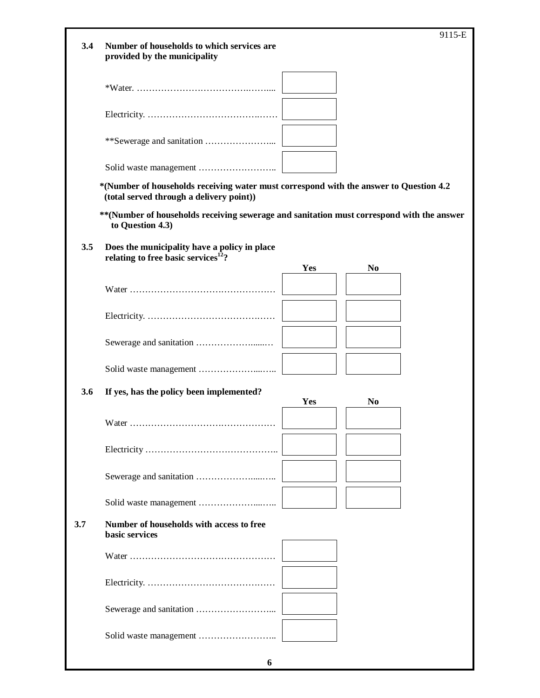| 3.4 | Number of households to which services are<br>provided by the municipality                                                         |     |                | 9115-E |
|-----|------------------------------------------------------------------------------------------------------------------------------------|-----|----------------|--------|
|     |                                                                                                                                    |     |                |        |
|     |                                                                                                                                    |     |                |        |
|     |                                                                                                                                    |     |                |        |
|     |                                                                                                                                    |     |                |        |
|     | *(Number of households receiving water must correspond with the answer to Question 4.2<br>(total served through a delivery point)) |     |                |        |
|     | ** (Number of households receiving sewerage and sanitation must correspond with the answer<br>to Question 4.3)                     |     |                |        |
| 3.5 | Does the municipality have a policy in place<br>relating to free basic services <sup>12</sup> ?                                    |     |                |        |
|     |                                                                                                                                    | Yes | N <sub>0</sub> |        |
|     |                                                                                                                                    |     |                |        |
|     |                                                                                                                                    |     |                |        |
|     |                                                                                                                                    |     |                |        |
|     |                                                                                                                                    |     |                |        |
| 3.6 | If yes, has the policy been implemented?                                                                                           | Yes | N <sub>0</sub> |        |
|     |                                                                                                                                    |     |                |        |
|     |                                                                                                                                    |     |                |        |
|     |                                                                                                                                    |     |                |        |
|     |                                                                                                                                    |     |                |        |
| 3.7 | Number of households with access to free<br>basic services                                                                         |     |                |        |
|     |                                                                                                                                    |     |                |        |
|     |                                                                                                                                    |     |                |        |
|     |                                                                                                                                    |     |                |        |
|     |                                                                                                                                    |     |                |        |

**6**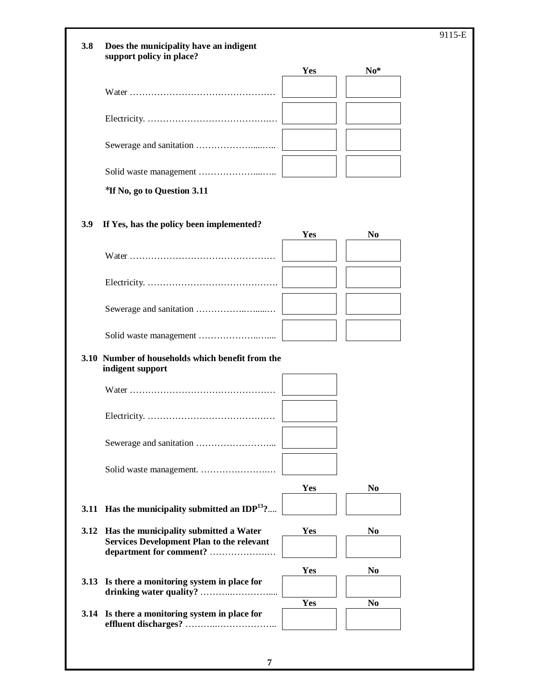| Does the municipality have an indigent                                                                                     |                          |                          | 9115-E                                                      |
|----------------------------------------------------------------------------------------------------------------------------|--------------------------|--------------------------|-------------------------------------------------------------|
|                                                                                                                            |                          |                          |                                                             |
|                                                                                                                            |                          |                          |                                                             |
|                                                                                                                            |                          |                          |                                                             |
|                                                                                                                            |                          |                          |                                                             |
|                                                                                                                            |                          |                          |                                                             |
| *If No, go to Question 3.11                                                                                                |                          |                          |                                                             |
| If Yes, has the policy been implemented?                                                                                   | Yes                      | N <sub>0</sub>           |                                                             |
|                                                                                                                            |                          |                          |                                                             |
|                                                                                                                            |                          |                          |                                                             |
|                                                                                                                            |                          |                          |                                                             |
|                                                                                                                            |                          |                          |                                                             |
| 3.10 Number of households which benefit from the<br>indigent support                                                       |                          |                          |                                                             |
|                                                                                                                            |                          |                          |                                                             |
|                                                                                                                            |                          |                          |                                                             |
|                                                                                                                            |                          |                          |                                                             |
|                                                                                                                            |                          |                          |                                                             |
|                                                                                                                            |                          |                          |                                                             |
| 3.11 Has the municipality submitted an IDP $^{13}$ ?                                                                       |                          |                          |                                                             |
| 3.12 Has the municipality submitted a Water<br><b>Services Development Plan to the relevant</b><br>department for comment? | Yes                      | N <sub>0</sub>           |                                                             |
|                                                                                                                            |                          |                          |                                                             |
| Is there a monitoring system in place for                                                                                  |                          |                          |                                                             |
| 3.14 Is there a monitoring system in place for                                                                             |                          |                          |                                                             |
|                                                                                                                            | support policy in place? | Yes<br>Yes<br>Yes<br>Yes | $No*$<br>N <sub>0</sub><br>N <sub>0</sub><br>N <sub>0</sub> |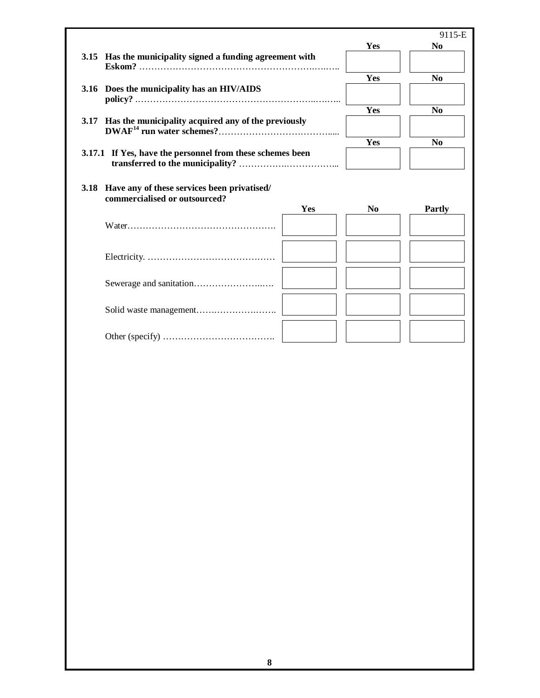|      |                                                                                   |            |                | 9115-E               |
|------|-----------------------------------------------------------------------------------|------------|----------------|----------------------|
|      |                                                                                   |            | Yes            | N <sub>0</sub>       |
|      | 3.15 Has the municipality signed a funding agreement with                         |            |                |                      |
|      |                                                                                   |            | Yes            | N <sub>0</sub>       |
|      | 3.16 Does the municipality has an HIV/AIDS                                        |            |                |                      |
|      |                                                                                   |            | Yes            | N <sub>0</sub>       |
| 3.17 | Has the municipality acquired any of the previously                               |            |                |                      |
|      |                                                                                   |            | Yes            | $\bf N$ <sub>0</sub> |
|      | 3.17.1 If Yes, have the personnel from these schemes been                         |            |                |                      |
|      |                                                                                   |            |                |                      |
|      | 3.18 Have any of these services been privatised/<br>commercialised or outsourced? |            |                |                      |
|      |                                                                                   | <b>Yes</b> | N <sub>0</sub> | <b>Partly</b>        |
|      |                                                                                   |            |                |                      |
|      |                                                                                   |            |                |                      |
|      |                                                                                   |            |                |                      |
|      |                                                                                   |            |                |                      |
|      |                                                                                   |            |                |                      |
|      |                                                                                   |            |                |                      |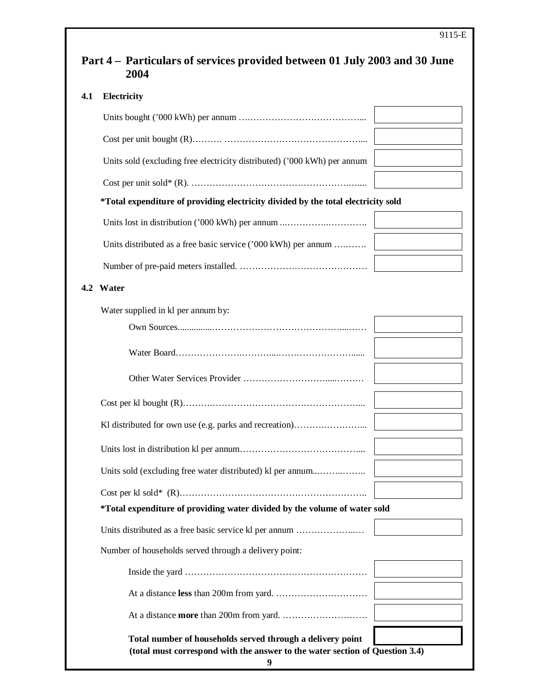|           | Electricity                                                                                                                                |  |
|-----------|--------------------------------------------------------------------------------------------------------------------------------------------|--|
|           |                                                                                                                                            |  |
|           |                                                                                                                                            |  |
|           | Units sold (excluding free electricity distributed) ('000 kWh) per annum                                                                   |  |
|           |                                                                                                                                            |  |
|           | *Total expenditure of providing electricity divided by the total electricity sold                                                          |  |
|           |                                                                                                                                            |  |
|           | Units distributed as a free basic service ('000 kWh) per annum                                                                             |  |
|           |                                                                                                                                            |  |
| 4.2 Water |                                                                                                                                            |  |
|           | Water supplied in kl per annum by:                                                                                                         |  |
|           |                                                                                                                                            |  |
|           |                                                                                                                                            |  |
|           |                                                                                                                                            |  |
|           |                                                                                                                                            |  |
|           | Kl distributed for own use (e.g. parks and recreation)                                                                                     |  |
|           |                                                                                                                                            |  |
|           | Units sold (excluding free water distributed) kl per annum                                                                                 |  |
|           |                                                                                                                                            |  |
|           | *Total expenditure of providing water divided by the volume of water sold                                                                  |  |
|           | Units distributed as a free basic service kl per annum                                                                                     |  |
|           | Number of households served through a delivery point:                                                                                      |  |
|           |                                                                                                                                            |  |
|           |                                                                                                                                            |  |
|           |                                                                                                                                            |  |
|           | Total number of households served through a delivery point<br>(total must correspond with the answer to the water section of Question 3.4) |  |

**9**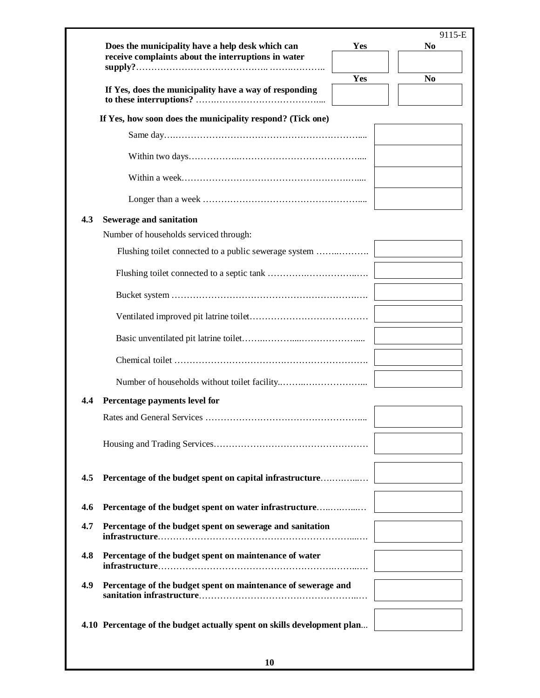| Does the municipality have a help desk which can<br>receive complaints about the interruptions in water | Yes | 9115-E<br>N <sub>0</sub> |
|---------------------------------------------------------------------------------------------------------|-----|--------------------------|
|                                                                                                         |     |                          |
| If Yes, does the municipality have a way of responding                                                  | Yes | N <sub>0</sub>           |
| If Yes, how soon does the municipality respond? (Tick one)                                              |     |                          |
|                                                                                                         |     |                          |
|                                                                                                         |     |                          |
|                                                                                                         |     |                          |
|                                                                                                         |     |                          |
| Sewerage and sanitation                                                                                 |     |                          |
| Number of households serviced through:                                                                  |     |                          |
|                                                                                                         |     |                          |
|                                                                                                         |     |                          |
|                                                                                                         |     |                          |
|                                                                                                         |     |                          |
|                                                                                                         |     |                          |
|                                                                                                         |     |                          |
|                                                                                                         |     |                          |
| Percentage payments level for                                                                           |     |                          |
|                                                                                                         |     |                          |
|                                                                                                         |     |                          |
| Percentage of the budget spent on capital infrastructure                                                |     |                          |
| Percentage of the budget spent on water infrastructure                                                  |     |                          |
| Percentage of the budget spent on sewerage and sanitation                                               |     |                          |
| Percentage of the budget spent on maintenance of water                                                  |     |                          |
| Percentage of the budget spent on maintenance of sewerage and                                           |     |                          |
|                                                                                                         |     |                          |
| 4.10 Percentage of the budget actually spent on skills development plan                                 |     |                          |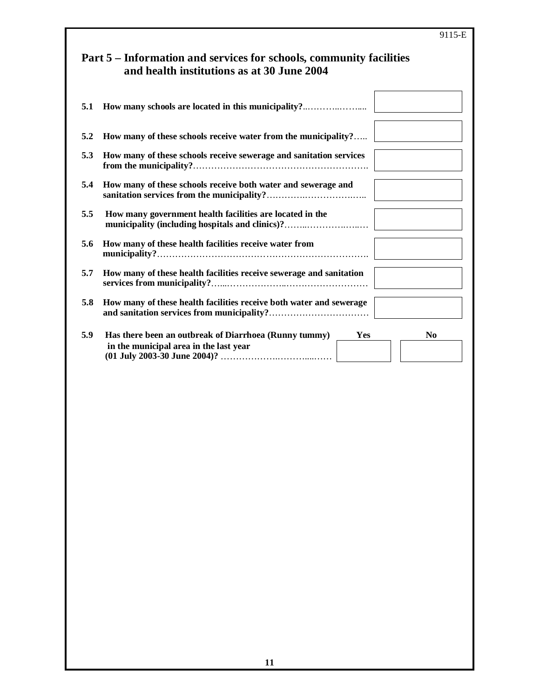|     | 9115-E                                                                                                                   |
|-----|--------------------------------------------------------------------------------------------------------------------------|
|     | Part 5 – Information and services for schools, community facilities<br>and health institutions as at 30 June 2004        |
| 5.1 | How many schools are located in this municipality?                                                                       |
| 5.2 | How many of these schools receive water from the municipality?                                                           |
| 5.3 | How many of these schools receive sewerage and sanitation services                                                       |
| 5.4 | How many of these schools receive both water and sewerage and                                                            |
| 5.5 | How many government health facilities are located in the<br>municipality (including hospitals and clinics)?              |
| 5.6 | How many of these health facilities receive water from                                                                   |
| 5.7 | How many of these health facilities receive sewerage and sanitation                                                      |
| 5.8 | How many of these health facilities receive both water and sewerage                                                      |
| 5.9 | Has there been an outbreak of Diarrhoea (Runny tummy)<br>Yes<br>N <sub>0</sub><br>in the municipal area in the last year |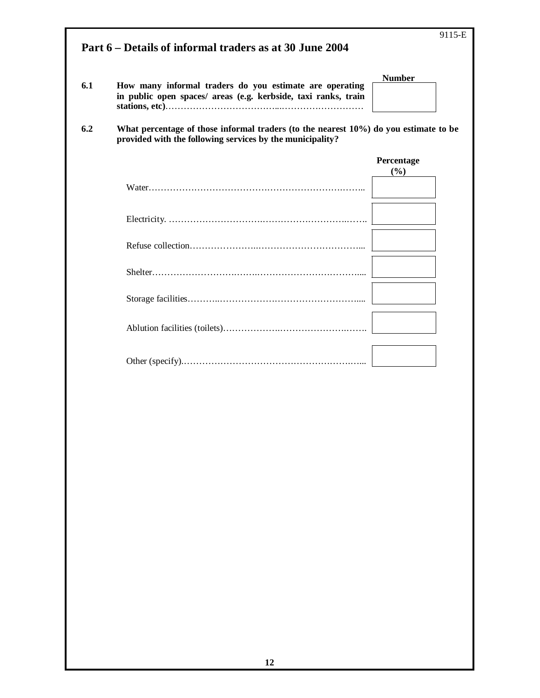| Part 6 – Details of informal traders as at 30 June 2004 |                                                                                                                                                       |                   |  |  |
|---------------------------------------------------------|-------------------------------------------------------------------------------------------------------------------------------------------------------|-------------------|--|--|
| 6.1                                                     | How many informal traders do you estimate are operating<br>in public open spaces/ areas (e.g. kerbside, taxi ranks, train                             | <b>Number</b>     |  |  |
| 6.2                                                     | What percentage of those informal traders (to the nearest $10\%$ ) do you estimate to be<br>provided with the following services by the municipality? |                   |  |  |
|                                                         |                                                                                                                                                       | Percentage<br>(%) |  |  |
|                                                         |                                                                                                                                                       |                   |  |  |
|                                                         |                                                                                                                                                       |                   |  |  |
|                                                         |                                                                                                                                                       |                   |  |  |
|                                                         |                                                                                                                                                       |                   |  |  |
|                                                         |                                                                                                                                                       |                   |  |  |
|                                                         |                                                                                                                                                       |                   |  |  |
|                                                         |                                                                                                                                                       |                   |  |  |